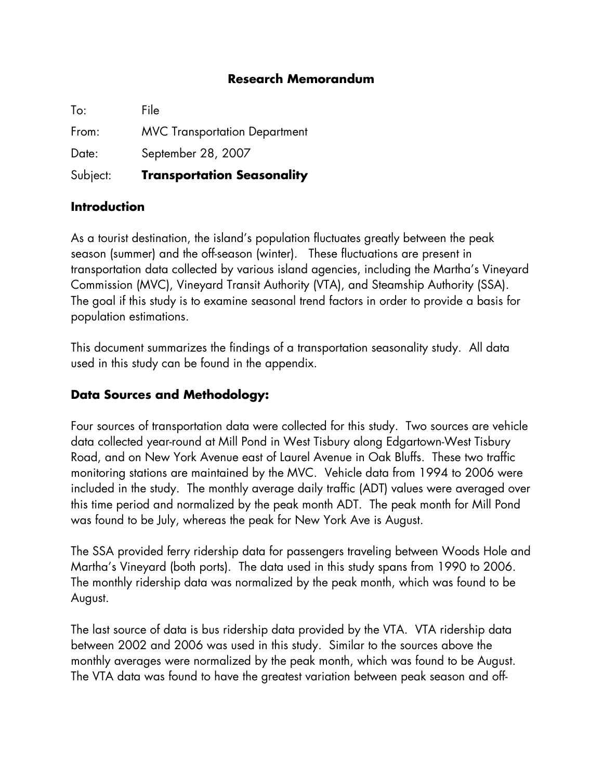## **Research Memorandum**

To: File From: MVC Transportation Department Date: September 28, 2007 Subject: **Transportation Seasonality**

## **Introduction**

As a tourist destination, the island's population fluctuates greatly between the peak season (summer) and the off-season (winter). These fluctuations are present in transportation data collected by various island agencies, including the Martha's Vineyard Commission (MVC), Vineyard Transit Authority (VTA), and Steamship Authority (SSA). The goal if this study is to examine seasonal trend factors in order to provide a basis for population estimations.

This document summarizes the findings of a transportation seasonality study. All data used in this study can be found in the appendix.

## **Data Sources and Methodology:**

Four sources of transportation data were collected for this study. Two sources are vehicle data collected year-round at Mill Pond in West Tisbury along Edgartown-West Tisbury Road, and on New York Avenue east of Laurel Avenue in Oak Bluffs. These two traffic monitoring stations are maintained by the MVC. Vehicle data from 1994 to 2006 were included in the study. The monthly average daily traffic (ADT) values were averaged over this time period and normalized by the peak month ADT. The peak month for Mill Pond was found to be July, whereas the peak for New York Ave is August.

The SSA provided ferry ridership data for passengers traveling between Woods Hole and Martha's Vineyard (both ports). The data used in this study spans from 1990 to 2006. The monthly ridership data was normalized by the peak month, which was found to be August.

The last source of data is bus ridership data provided by the VTA. VTA ridership data between 2002 and 2006 was used in this study. Similar to the sources above the monthly averages were normalized by the peak month, which was found to be August. The VTA data was found to have the greatest variation between peak season and off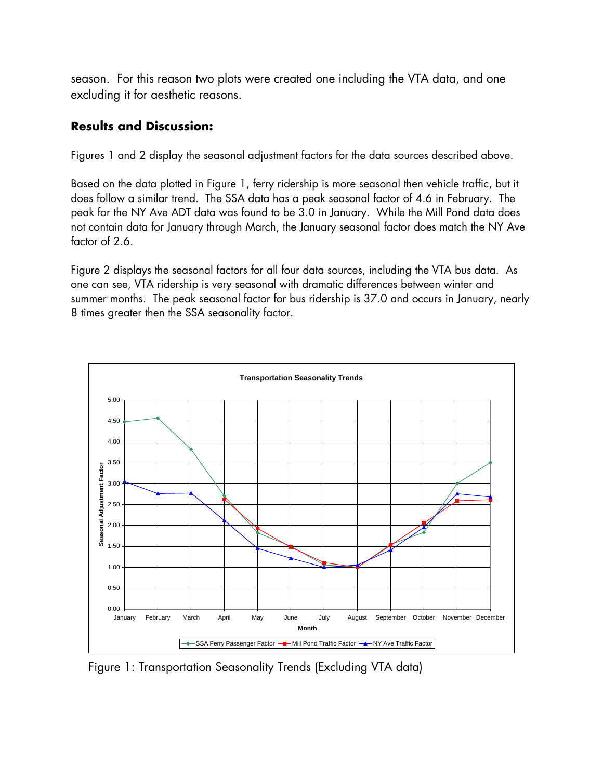season. For this reason two plots were created one including the VTA data, and one excluding it for aesthetic reasons.

## **Results and Discussion:**

Figures 1 and 2 display the seasonal adjustment factors for the data sources described above.

Based on the data plotted in Figure 1, ferry ridership is more seasonal then vehicle traffic, but it does follow a similar trend. The SSA data has a peak seasonal factor of 4.6 in February. The peak for the NY Ave ADT data was found to be 3.0 in January. While the Mill Pond data does not contain data for January through March, the January seasonal factor does match the NY Ave factor of 2.6.

Figure 2 displays the seasonal factors for all four data sources, including the VTA bus data. As one can see, VTA ridership is very seasonal with dramatic differences between winter and summer months. The peak seasonal factor for bus ridership is 37.0 and occurs in January, nearly 8 times greater then the SSA seasonality factor.



Figure 1: Transportation Seasonality Trends (Excluding VTA data)